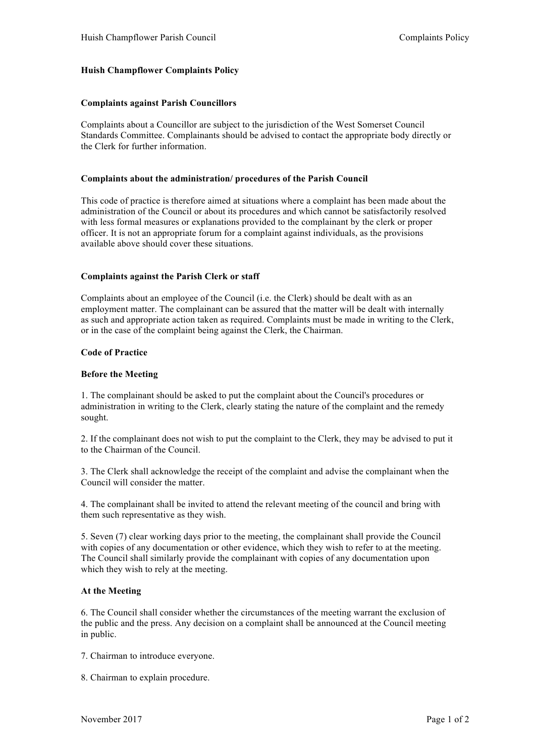# **Huish Champflower Complaints Policy**

## **Complaints against Parish Councillors**

Complaints about a Councillor are subject to the jurisdiction of the West Somerset Council Standards Committee. Complainants should be advised to contact the appropriate body directly or the Clerk for further information.

## **Complaints about the administration/ procedures of the Parish Council**

This code of practice is therefore aimed at situations where a complaint has been made about the administration of the Council or about its procedures and which cannot be satisfactorily resolved with less formal measures or explanations provided to the complainant by the clerk or proper officer. It is not an appropriate forum for a complaint against individuals, as the provisions available above should cover these situations.

# **Complaints against the Parish Clerk or staff**

Complaints about an employee of the Council (i.e. the Clerk) should be dealt with as an employment matter. The complainant can be assured that the matter will be dealt with internally as such and appropriate action taken as required. Complaints must be made in writing to the Clerk, or in the case of the complaint being against the Clerk, the Chairman.

#### **Code of Practice**

## **Before the Meeting**

1. The complainant should be asked to put the complaint about the Council's procedures or administration in writing to the Clerk, clearly stating the nature of the complaint and the remedy sought.

2. If the complainant does not wish to put the complaint to the Clerk, they may be advised to put it to the Chairman of the Council.

3. The Clerk shall acknowledge the receipt of the complaint and advise the complainant when the Council will consider the matter.

4. The complainant shall be invited to attend the relevant meeting of the council and bring with them such representative as they wish.

5. Seven (7) clear working days prior to the meeting, the complainant shall provide the Council with copies of any documentation or other evidence, which they wish to refer to at the meeting. The Council shall similarly provide the complainant with copies of any documentation upon which they wish to rely at the meeting.

# **At the Meeting**

6. The Council shall consider whether the circumstances of the meeting warrant the exclusion of the public and the press. Any decision on a complaint shall be announced at the Council meeting in public.

- 7. Chairman to introduce everyone.
- 8. Chairman to explain procedure.